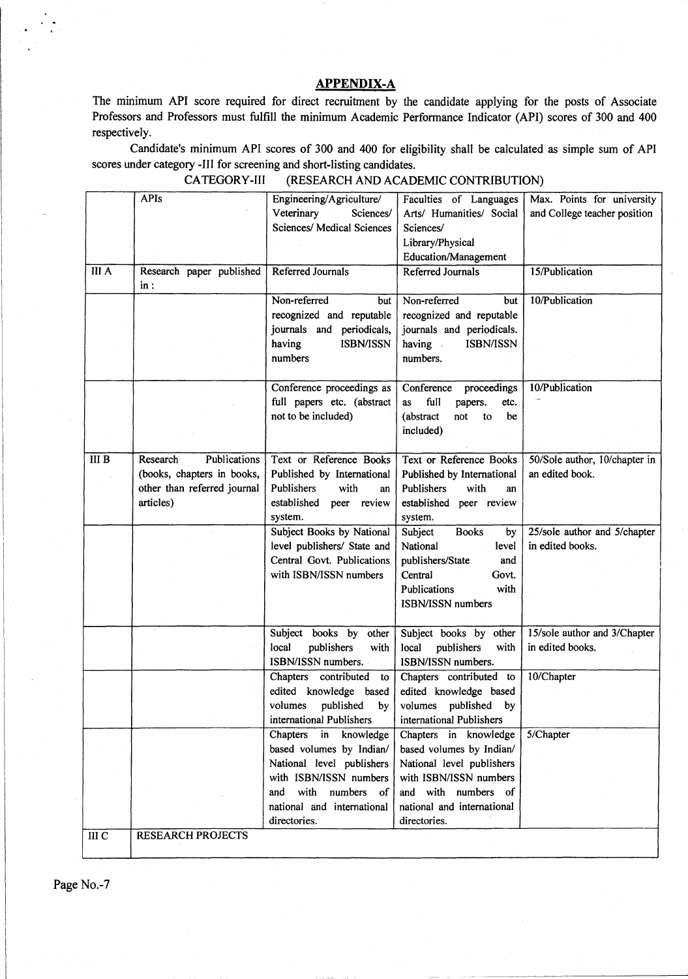## **APPENDIX-A**

The mimmum API score required for direct recruitment by the candidate applying for the posts of Associate Professors and Professors must fulfill the minimum Academic Performance Indicator (API) scores of 300 and 400 respectively.

Candidate's minimum API scores of 300 and 400 for eligibility shall be calculated as simple sum of API scores under category -Ill for screening and short-listing candidates.

|                  | <b>APIs</b>                 | Engineering/Agriculture/          | Faculties of Languages         | Max. Points for university    |
|------------------|-----------------------------|-----------------------------------|--------------------------------|-------------------------------|
|                  |                             | Veterinary<br>Sciences/           | Arts/ Humanities/ Social       | and College teacher position  |
|                  |                             | <b>Sciences/ Medical Sciences</b> | Sciences/                      |                               |
|                  |                             |                                   | Library/Physical               |                               |
|                  |                             |                                   | Education/Management           |                               |
| <b>III</b> A     | Research paper published    | Referred Journals                 | Referred Journals              | 15/Publication                |
|                  | in:                         |                                   |                                |                               |
|                  |                             | Non-referred<br>but               | Non-referred<br>but            | 10/Publication                |
|                  |                             | recognized and reputable          | recognized and reputable       |                               |
|                  |                             | journals and periodicals,         | journals and periodicals.      |                               |
|                  |                             | having<br><b>ISBN/ISSN</b>        | having<br>ISBN/ISSN            |                               |
|                  |                             | numbers                           | numbers.                       |                               |
|                  |                             |                                   |                                |                               |
|                  |                             | Conference proceedings as         | Conference proceedings         | 10/Publication                |
|                  |                             | full papers etc. (abstract        | full<br>as<br>etc.<br>papers.  |                               |
|                  |                             | not to be included)               | (abstract)<br>not<br>be<br>to  |                               |
|                  |                             |                                   | included)                      |                               |
|                  |                             |                                   |                                |                               |
| III <sub>B</sub> | Research<br>Publications    | Text or Reference Books           | <b>Text or Reference Books</b> | 50/Sole author, 10/chapter in |
|                  | (books, chapters in books,  | Published by International        | Published by International     | an edited book.               |
|                  | other than referred journal | Publishers<br>with<br>an          | Publishers<br>with<br>an       |                               |
|                  | articles)                   | established peer review           | established peer review        |                               |
|                  |                             | system.                           | system.                        |                               |
|                  |                             | Subject Books by National         | Subject<br><b>Books</b><br>by  | 25/sole author and 5/chapter  |
|                  |                             | level publishers/ State and       | National<br>level              | in edited books.              |
|                  |                             | Central Govt. Publications        | publishers/State<br>and        |                               |
|                  |                             | with ISBN/ISSN numbers            | Central<br>Govt.               |                               |
|                  |                             |                                   | with<br>Publications           |                               |
|                  |                             |                                   | ISBN/ISSN numbers              |                               |
|                  |                             |                                   |                                |                               |
|                  |                             | Subject books by other            | Subject books by other         | 15/sole author and 3/Chapter  |
|                  |                             | local<br>publishers<br>with       | local<br>publishers<br>with    | in edited books.              |
|                  |                             | ISBN/ISSN numbers.                | ISBN/ISSN numbers.             |                               |
|                  |                             | Chapters contributed to           | Chapters contributed to        | 10/Chapter                    |
|                  |                             | edited knowledge based            | edited knowledge based         |                               |
|                  |                             | volumes published by              | volumes published by           |                               |
|                  |                             | international Publishers          | international Publishers       |                               |
|                  |                             | Chapters<br>in<br>knowledge       | Chapters in knowledge          | 5/Chapter                     |
|                  |                             | based volumes by Indian/          | based volumes by Indian/       |                               |
|                  |                             | National level publishers         | National level publishers      |                               |
|                  |                             | with ISBN/ISSN numbers            | with ISBN/ISSN numbers         |                               |
|                  |                             | and with numbers of               | and with numbers of            |                               |
|                  |                             | national and international        | national and international     |                               |
|                  |                             | directories.                      | directories.                   |                               |
| III C            | <b>RESEARCH PROJECTS</b>    |                                   |                                |                               |
|                  |                             |                                   |                                |                               |

CATEGORY-HI (RESEARCH AND ACADEMIC CONTRIBUTION)

Page No.-7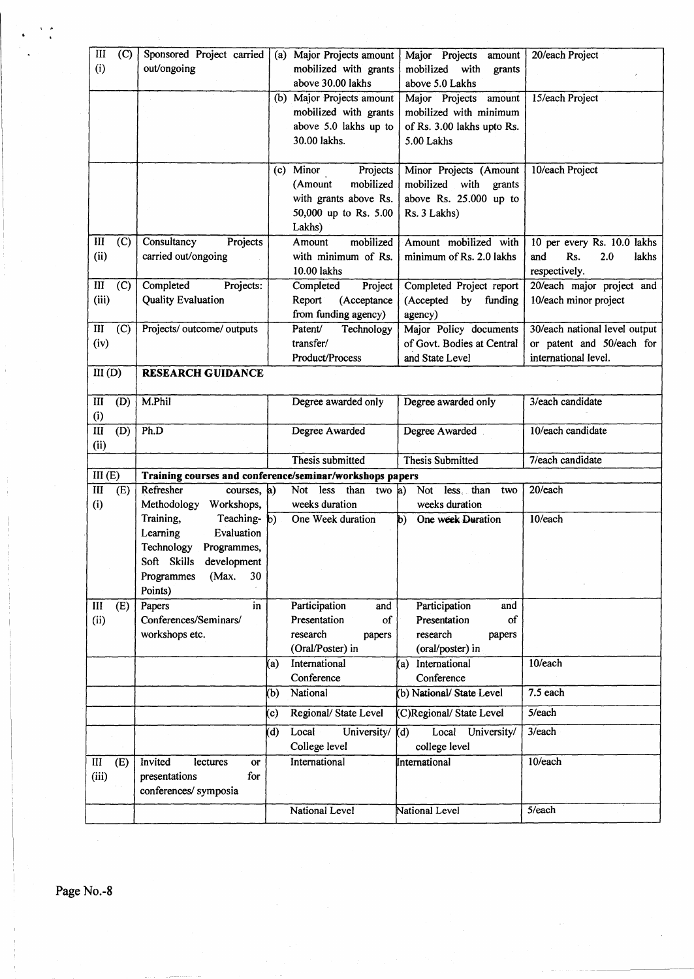| III                        | (C) | Sponsored Project carried                                                                                             |                   | (a) Major Projects amount                     | Major Projects<br>amount                 | 20/each Project               |  |
|----------------------------|-----|-----------------------------------------------------------------------------------------------------------------------|-------------------|-----------------------------------------------|------------------------------------------|-------------------------------|--|
| (i)                        |     | out/ongoing                                                                                                           |                   | mobilized with grants                         | mobilized with<br>grants                 |                               |  |
|                            |     |                                                                                                                       |                   | above 30.00 lakhs                             | above 5.0 Lakhs                          |                               |  |
|                            |     |                                                                                                                       |                   | (b) Major Projects amount                     | Major Projects<br>amount                 | 15/each Project               |  |
|                            |     |                                                                                                                       |                   | mobilized with grants                         | mobilized with minimum                   |                               |  |
|                            |     |                                                                                                                       |                   | above 5.0 lakhs up to<br>30.00 lakhs.         | of Rs. 3.00 lakhs upto Rs.<br>5.00 Lakhs |                               |  |
|                            |     |                                                                                                                       |                   |                                               |                                          |                               |  |
|                            |     |                                                                                                                       |                   | (c) Minor<br>Projects                         | Minor Projects (Amount                   | 10/each Project               |  |
|                            |     |                                                                                                                       |                   | mobilized<br>(Amount                          | mobilized<br>with<br>grants              |                               |  |
|                            |     |                                                                                                                       |                   | with grants above Rs.                         | above Rs. 25.000 up to                   |                               |  |
|                            |     |                                                                                                                       |                   | 50,000 up to Rs. 5.00                         | Rs. 3 Lakhs)                             |                               |  |
|                            |     |                                                                                                                       |                   | Lakhs)                                        |                                          |                               |  |
| III                        | (C) | Consultancy<br>Projects                                                                                               |                   | mobilized<br>Amount                           | Amount mobilized with                    | 10 per every Rs. 10.0 lakhs   |  |
| (ii)                       |     | carried out/ongoing                                                                                                   |                   | with minimum of Rs.                           | minimum of Rs. 2.0 lakhs                 | and<br>Rs.<br>2.0<br>lakhs    |  |
|                            |     |                                                                                                                       |                   | 10.00 lakhs                                   |                                          | respectively.                 |  |
| III                        | (C) | Completed<br>Projects:                                                                                                |                   | Completed<br>Project                          | Completed Project report                 | 20/each major project and     |  |
| (iii)                      |     | <b>Quality Evaluation</b>                                                                                             |                   | Report<br>(Acceptance                         | (Accepted<br>by<br>funding               | 10/each minor project         |  |
| III                        | (C) | Projects/ outcome/ outputs                                                                                            |                   | from funding agency)<br>Patent/<br>Technology | agency)<br>Major Policy documents        | 30/each national level output |  |
| (iv)                       |     |                                                                                                                       |                   | transfer/                                     | of Govt. Bodies at Central               | or patent and 50/each for     |  |
|                            |     |                                                                                                                       |                   | <b>Product/Process</b>                        | and State Level                          | international level.          |  |
| III(D)                     |     | <b>RESEARCH GUIDANCE</b>                                                                                              |                   |                                               |                                          |                               |  |
|                            |     |                                                                                                                       |                   |                                               |                                          |                               |  |
| Ш                          | (D) | M.Phil                                                                                                                |                   | Degree awarded only                           | Degree awarded only                      | 3/each candidate              |  |
| (i)                        |     |                                                                                                                       |                   |                                               |                                          |                               |  |
| $\overline{III}$           | (D) | Ph.D                                                                                                                  |                   | Degree Awarded                                | Degree Awarded                           | 10/each candidate             |  |
| (ii)                       |     |                                                                                                                       |                   |                                               |                                          |                               |  |
|                            |     |                                                                                                                       |                   | Thesis submitted                              | <b>Thesis Submitted</b>                  | 7/each candidate              |  |
| III(E)<br>$\overline{III}$ | (E) | Training courses and conference/seminar/workshops papers<br>Refresher<br>less than<br>20/each<br>Not less than two a) |                   |                                               |                                          |                               |  |
| (i)                        |     | courses, a)<br>Methodology<br>Workshops,                                                                              |                   | weeks duration                                | Not<br>two<br>weeks duration             |                               |  |
|                            |     | Teaching- b)<br>Training,                                                                                             |                   | One Week duration                             | One week Duration<br>b)                  | 10/each                       |  |
|                            |     | Evaluation<br>Learning                                                                                                |                   |                                               |                                          |                               |  |
|                            |     | Technology<br>Programmes,                                                                                             |                   |                                               |                                          |                               |  |
|                            |     | Soft Skills development                                                                                               |                   |                                               |                                          |                               |  |
|                            |     | Programmes<br>(Max.<br>30                                                                                             |                   |                                               |                                          |                               |  |
|                            |     | Points)                                                                                                               |                   |                                               |                                          |                               |  |
| III                        |     |                                                                                                                       |                   |                                               |                                          |                               |  |
|                            | (E) | in<br>Papers                                                                                                          |                   | Participation<br>and                          | Participation<br>and                     |                               |  |
| (ii)                       |     | Conferences/Seminars/                                                                                                 |                   | Presentation<br>of                            | Presentation<br>of                       |                               |  |
|                            |     | workshops etc.                                                                                                        |                   | research<br>papers                            | research<br>papers                       |                               |  |
|                            |     |                                                                                                                       |                   | (Oral/Poster) in                              | (oral/poster) in                         |                               |  |
|                            |     |                                                                                                                       | (a)               | International                                 | International<br>$\mathbf{a}$            | 10/each                       |  |
|                            |     |                                                                                                                       |                   | Conference                                    | Conference                               |                               |  |
|                            |     |                                                                                                                       | (b)               | National                                      | (b) National/ State Level                | $7.5$ each                    |  |
|                            |     |                                                                                                                       | $\left( c\right)$ | Regional/State Level                          | (C)Regional/State Level                  | 5/each                        |  |
|                            |     |                                                                                                                       | (d)               | Local<br>University/                          | Local University/<br>(d)                 | 3/each                        |  |
|                            |     |                                                                                                                       |                   | College level                                 | college level                            |                               |  |
| $\rm III$                  | (E) | Invited<br>lectures<br><b>or</b>                                                                                      |                   | International                                 | International                            | 10/each                       |  |
| (iii)                      |     | for<br>presentations                                                                                                  |                   |                                               |                                          |                               |  |
|                            |     | conferences/ symposia                                                                                                 |                   |                                               |                                          |                               |  |
|                            |     |                                                                                                                       |                   | National Level                                | National Level                           | 5/each                        |  |